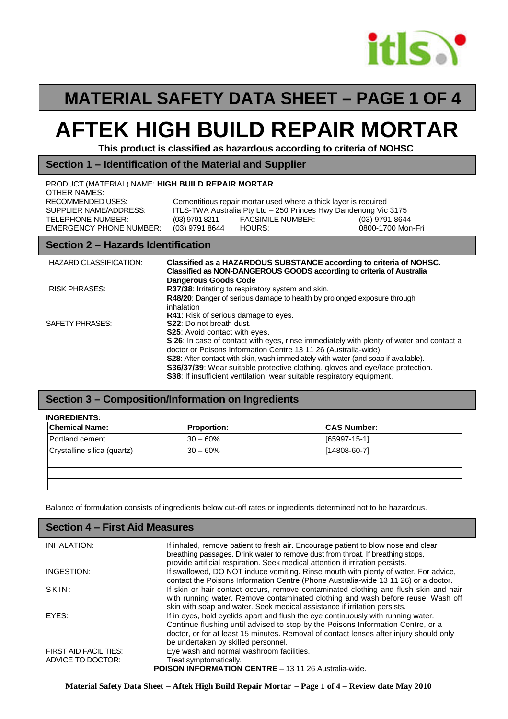

# **MATERIAL SAFETY DATA SHEET – PAGE 1 OF 4**

# **AFTEK HIGH BUILD REPAIR MORTAR**

**This product is classified as hazardous according to criteria of NOHSC**

#### **Section 1 – Identification of the Material and Supplier**

| PRODUCT (MATERIAL) NAME: HIGH BUILD REPAIR MORTAR<br>OTHER NAMES: |                                  |                                                                                                                                    |                                     |
|-------------------------------------------------------------------|----------------------------------|------------------------------------------------------------------------------------------------------------------------------------|-------------------------------------|
| RECOMMENDED USES:<br>SUPPLIER NAME/ADDRESS:                       |                                  | Cementitious repair mortar used where a thick layer is required<br>ITLS-TWA Australia Pty Ltd - 250 Princes Hwy Dandenong Vic 3175 |                                     |
| TELEPHONE NUMBER:<br><b>EMERGENCY PHONE NUMBER:</b>               | (03) 9791 8211<br>(03) 9791 8644 | FACSIMILE NUMBER:<br>HOURS:                                                                                                        | (03) 9791 8644<br>0800-1700 Mon-Fri |

#### **Section 2 – Hazards Identification**

| <b>HAZARD CLASSIFICATION:</b> | Classified as a HAZARDOUS SUBSTANCE according to criteria of NOHSC.<br>Classified as NON-DANGEROUS GOODS according to criteria of Australia<br><b>Dangerous Goods Code</b> |
|-------------------------------|----------------------------------------------------------------------------------------------------------------------------------------------------------------------------|
| <b>RISK PHRASES:</b>          | R37/38: Irritating to respiratory system and skin.                                                                                                                         |
|                               | R48/20: Danger of serious damage to health by prolonged exposure through<br>inhalation                                                                                     |
|                               | <b>R41:</b> Risk of serious damage to eyes.                                                                                                                                |
| SAFETY PHRASES:               | <b>S22:</b> Do not breath dust.                                                                                                                                            |
|                               | <b>S25:</b> Avoid contact with eyes.                                                                                                                                       |
|                               | S 26: In case of contact with eyes, rinse immediately with plenty of water and contact a                                                                                   |
|                               | doctor or Poisons Information Centre 13 11 26 (Australia-wide).                                                                                                            |
|                               | S28: After contact with skin, wash immediately with water (and soap if available).                                                                                         |
|                               | <b>S36/37/39</b> : Wear suitable protective clothing, gloves and eye/face protection.                                                                                      |
|                               | <b>S38:</b> If insufficient ventilation, wear suitable respiratory equipment.                                                                                              |

#### **Section 3 – Composition/Information on Ingredients**

| <b>INGREDIENTS:</b>         |                    |                    |  |
|-----------------------------|--------------------|--------------------|--|
| <b>Chemical Name:</b>       | <b>Proportion:</b> | <b>CAS Number:</b> |  |
| Portland cement             | $30 - 60%$         | $[65997-15-1]$     |  |
| Crystalline silica (quartz) | $30 - 60\%$        | $[14808 - 60 - 7]$ |  |
|                             |                    |                    |  |
|                             |                    |                    |  |
|                             |                    |                    |  |

Balance of formulation consists of ingredients below cut-off rates or ingredients determined not to be hazardous.

#### **Section 4 – First Aid Measures**

| INHALATION:                  | If inhaled, remove patient to fresh air. Encourage patient to blow nose and clear<br>breathing passages. Drink water to remove dust from throat. If breathing stops,<br>provide artificial respiration. Seek medical attention if irritation persists.                                                |
|------------------------------|-------------------------------------------------------------------------------------------------------------------------------------------------------------------------------------------------------------------------------------------------------------------------------------------------------|
| INGESTION:                   | If swallowed, DO NOT induce vomiting. Rinse mouth with plenty of water. For advice,<br>contact the Poisons Information Centre (Phone Australia-wide 13 11 26) or a doctor.                                                                                                                            |
| SKIN:                        | If skin or hair contact occurs, remove contaminated clothing and flush skin and hair<br>with running water. Remove contaminated clothing and wash before reuse. Wash off<br>skin with soap and water. Seek medical assistance if irritation persists.                                                 |
| EYES:                        | If in eyes, hold eyelids apart and flush the eye continuously with running water.<br>Continue flushing until advised to stop by the Poisons Information Centre, or a<br>doctor, or for at least 15 minutes. Removal of contact lenses after injury should only<br>be undertaken by skilled personnel. |
| <b>FIRST AID FACILITIES:</b> | Eye wash and normal washroom facilities.                                                                                                                                                                                                                                                              |
| ADVICE TO DOCTOR:            | Treat symptomatically.<br><b>POISON INFORMATION CENTRE - 13 11 26 Australia-wide.</b>                                                                                                                                                                                                                 |

**Material Safety Data Sheet – Aftek High Build Repair Mortar – Page 1 of 4 – Review date May 2010**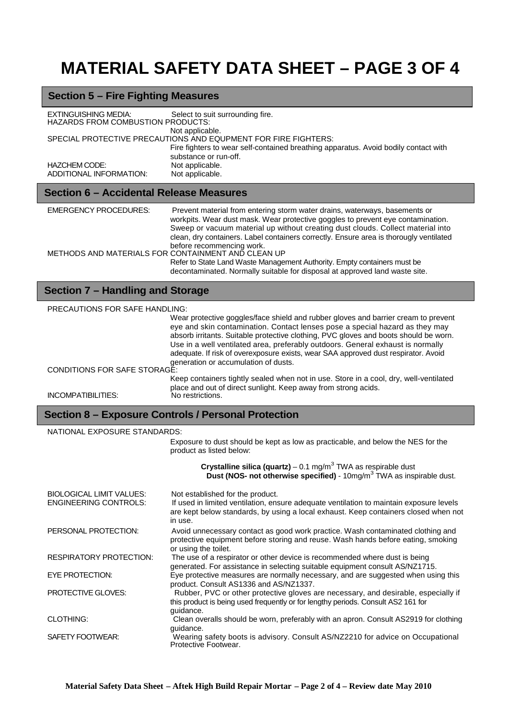# **MATERIAL SAFETY DATA SHEET – PAGE 3 OF 4**

# **Section 5 – Fire Fighting Measures**

| EXTINGUISHING MEDIA:<br><b>HAZARDS FROM COMBUSTION PRODUCTS:</b> | Select to suit surrounding fire.                                                                             |  |
|------------------------------------------------------------------|--------------------------------------------------------------------------------------------------------------|--|
|                                                                  | Not applicable.                                                                                              |  |
| SPECIAL PROTECTIVE PRECAUTIONS AND EQUPMENT FOR FIRE FIGHTERS:   |                                                                                                              |  |
|                                                                  | Fire fighters to wear self-contained breathing apparatus. Avoid bodily contact with<br>substance or run-off. |  |
| HAZCHEM CODE:                                                    | Not applicable.                                                                                              |  |
| ADDITIONAL INFORMATION:                                          | Not applicable.                                                                                              |  |

## **Section 6 – Accidental Release Measures**

| <b>EMERGENCY PROCEDURES:</b>                       | Prevent material from entering storm water drains, waterways, basements or<br>workpits. Wear dust mask. Wear protective goggles to prevent eye contamination.<br>Sweep or vacuum material up without creating dust clouds. Collect material into<br>clean, dry containers. Label containers correctly. Ensure area is thorougly ventilated |
|----------------------------------------------------|--------------------------------------------------------------------------------------------------------------------------------------------------------------------------------------------------------------------------------------------------------------------------------------------------------------------------------------------|
| METHODS AND MATERIALS FOR CONTAINMENT AND CLEAN UP | before recommencing work.<br>Refer to State Land Waste Management Authority. Empty containers must be<br>decontaminated. Normally suitable for disposal at approved land waste site.                                                                                                                                                       |

# **Section 7 – Handling and Storage**

| <b>PRECAUTIONS FOR SAFE HANDLING:</b> |                                                                                                                                                                                                                                                                                                                                                                                                                                                                             |  |
|---------------------------------------|-----------------------------------------------------------------------------------------------------------------------------------------------------------------------------------------------------------------------------------------------------------------------------------------------------------------------------------------------------------------------------------------------------------------------------------------------------------------------------|--|
|                                       | Wear protective goggles/face shield and rubber gloves and barrier cream to prevent<br>eye and skin contamination. Contact lenses pose a special hazard as they may<br>absorb irritants. Suitable protective clothing, PVC gloves and boots should be worn.<br>Use in a well ventilated area, preferably outdoors. General exhaust is normally<br>adequate. If risk of overexposure exists, wear SAA approved dust respirator. Avoid<br>generation or accumulation of dusts. |  |
| CONDITIONS FOR SAFE STORAGE:          |                                                                                                                                                                                                                                                                                                                                                                                                                                                                             |  |
|                                       | Keep containers tightly sealed when not in use. Store in a cool, dry, well-ventilated<br>place and out of direct sunlight. Keep away from strong acids.                                                                                                                                                                                                                                                                                                                     |  |
| INCOMPATIBILITIES:                    | No restrictions.                                                                                                                                                                                                                                                                                                                                                                                                                                                            |  |

### **Section 8 – Exposure Controls / Personal Protection**

| NATIONAL EXPOSURE STANDARDS:    |                                                                                                                                                                                             |  |
|---------------------------------|---------------------------------------------------------------------------------------------------------------------------------------------------------------------------------------------|--|
|                                 | Exposure to dust should be kept as low as practicable, and below the NES for the<br>product as listed below:                                                                                |  |
|                                 | Crystalline silica (quartz) – 0.1 mg/m <sup>3</sup> TWA as respirable dust<br><b>Dust (NOS- not otherwise specified)</b> - $10\text{mg/m}^3$ TWA as inspirable dust.                        |  |
| <b>BIOLOGICAL LIMIT VALUES:</b> | Not established for the product.                                                                                                                                                            |  |
| <b>ENGINEERING CONTROLS:</b>    | If used in limited ventilation, ensure adequate ventilation to maintain exposure levels<br>are kept below standards, by using a local exhaust. Keep containers closed when not<br>in use.   |  |
| PERSONAL PROTECTION:            | Avoid unnecessary contact as good work practice. Wash contaminated clothing and<br>protective equipment before storing and reuse. Wash hands before eating, smoking<br>or using the toilet. |  |
| <b>RESPIRATORY PROTECTION:</b>  | The use of a respirator or other device is recommended where dust is being<br>generated. For assistance in selecting suitable equipment consult AS/NZ1715.                                  |  |
| EYE PROTECTION:                 | Eye protective measures are normally necessary, and are suggested when using this<br>product. Consult AS1336 and AS/NZ1337.                                                                 |  |
| <b>PROTECTIVE GLOVES:</b>       | Rubber, PVC or other protective gloves are necessary, and desirable, especially if<br>this product is being used frequently or for lengthy periods. Consult AS2 161 for<br>guidance.        |  |
| <b>CLOTHING:</b>                | Clean overalls should be worn, preferably with an apron. Consult AS2919 for clothing<br>guidance.                                                                                           |  |
| SAFETY FOOTWEAR:                | Wearing safety boots is advisory. Consult AS/NZ2210 for advice on Occupational<br>Protective Footwear.                                                                                      |  |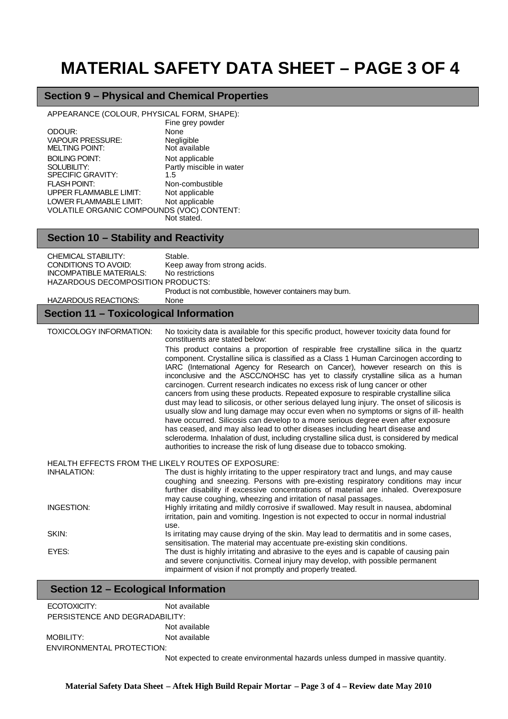# **MATERIAL SAFETY DATA SHEET – PAGE 3 OF 4**

### **Section 9 – Physical and Chemical Properties**

APPEARANCE (COLOUR, PHYSICAL FORM, SHAPE):

|                                           | Fine grey powder         |
|-------------------------------------------|--------------------------|
| ODOUR:                                    | None                     |
| <b>VAPOUR PRESSURE:</b>                   | Negligible               |
| <b>MELTING POINT:</b>                     | Not available            |
| <b>BOILING POINT:</b>                     | Not applicable           |
| SOLUBILITY:                               | Partly miscible in water |
| <b>SPECIFIC GRAVITY:</b>                  | 1.5                      |
| <b>FLASH POINT:</b>                       | Non-combustible          |
| <b>UPPER FLAMMABLE LIMIT:</b>             | Not applicable           |
| LOWER FLAMMABLE LIMIT:                    | Not applicable           |
| VOLATILE ORGANIC COMPOUNDS (VOC) CONTENT: |                          |
|                                           | Not stated.              |

## **Section 10 – Stability and Reactivity**

| <b>CHEMICAL STABILITY:</b><br>CONDITIONS TO AVOID:<br><b>INCOMPATIBLE MATERIALS:</b><br><b>HAZARDOUS DECOMPOSITION PRODUCTS:</b><br><b>HAZARDOUS REACTIONS:</b> | Stable.<br>Keep away from strong acids.<br>No restrictions<br>Product is not combustible, however containers may burn.<br>None                                                                                                                                                                                                                                                                                                                                                                                                                                                                                                                                                                                                                                                                                                                                                                                                                                                                                                                                                                                                                                                                          |
|-----------------------------------------------------------------------------------------------------------------------------------------------------------------|---------------------------------------------------------------------------------------------------------------------------------------------------------------------------------------------------------------------------------------------------------------------------------------------------------------------------------------------------------------------------------------------------------------------------------------------------------------------------------------------------------------------------------------------------------------------------------------------------------------------------------------------------------------------------------------------------------------------------------------------------------------------------------------------------------------------------------------------------------------------------------------------------------------------------------------------------------------------------------------------------------------------------------------------------------------------------------------------------------------------------------------------------------------------------------------------------------|
| <b>Section 11 - Toxicological Information</b>                                                                                                                   |                                                                                                                                                                                                                                                                                                                                                                                                                                                                                                                                                                                                                                                                                                                                                                                                                                                                                                                                                                                                                                                                                                                                                                                                         |
| <b>TOXICOLOGY INFORMATION:</b>                                                                                                                                  | No toxicity data is available for this specific product, however toxicity data found for<br>constituents are stated below:<br>This product contains a proportion of respirable free crystalline silica in the quartz<br>component. Crystalline silica is classified as a Class 1 Human Carcinogen according to<br>IARC (International Agency for Research on Cancer), however research on this is<br>inconclusive and the ASCC/NOHSC has yet to classify crystalline silica as a human<br>carcinogen. Current research indicates no excess risk of lung cancer or other<br>cancers from using these products. Repeated exposure to respirable crystalline silica<br>dust may lead to silicosis, or other serious delayed lung injury. The onset of silicosis is<br>usually slow and lung damage may occur even when no symptoms or signs of ill- health<br>have occurred. Silicosis can develop to a more serious degree even after exposure<br>has ceased, and may also lead to other diseases including heart disease and<br>scleroderma. Inhalation of dust, including crystalline silica dust, is considered by medical<br>authorities to increase the risk of lung disease due to tobacco smoking. |
| <b>INHALATION:</b><br>INGESTION:                                                                                                                                | HEALTH EFFECTS FROM THE LIKELY ROUTES OF EXPOSURE:<br>The dust is highly irritating to the upper respiratory tract and lungs, and may cause<br>coughing and sneezing. Persons with pre-existing respiratory conditions may incur<br>further disability if excessive concentrations of material are inhaled. Overexposure<br>may cause coughing, wheezing and irritation of nasal passages.<br>Highly irritating and mildly corrosive if swallowed. May result in nausea, abdominal<br>irritation, pain and vomiting. Ingestion is not expected to occur in normal industrial                                                                                                                                                                                                                                                                                                                                                                                                                                                                                                                                                                                                                            |
| SKIN:<br>EYES:                                                                                                                                                  | use.<br>Is irritating may cause drying of the skin. May lead to dermatitis and in some cases,<br>sensitisation. The material may accentuate pre-existing skin conditions.<br>The dust is highly irritating and abrasive to the eyes and is capable of causing pain<br>and severe conjunctivitis. Corneal injury may develop, with possible permanent<br>impairment of vision if not promptly and properly treated.                                                                                                                                                                                                                                                                                                                                                                                                                                                                                                                                                                                                                                                                                                                                                                                      |

### **Section 12 – Ecological Information**

| ECOTOXICITY:                   | Not available         |
|--------------------------------|-----------------------|
| PERSISTENCE AND DEGRADABILITY: |                       |
|                                | Not available         |
| MOBILITY:                      | Not available         |
| ENVIRONMENTAL PROTECTION:      |                       |
|                                | Not expected to creat |

Not expected to create environmental hazards unless dumped in massive quantity.